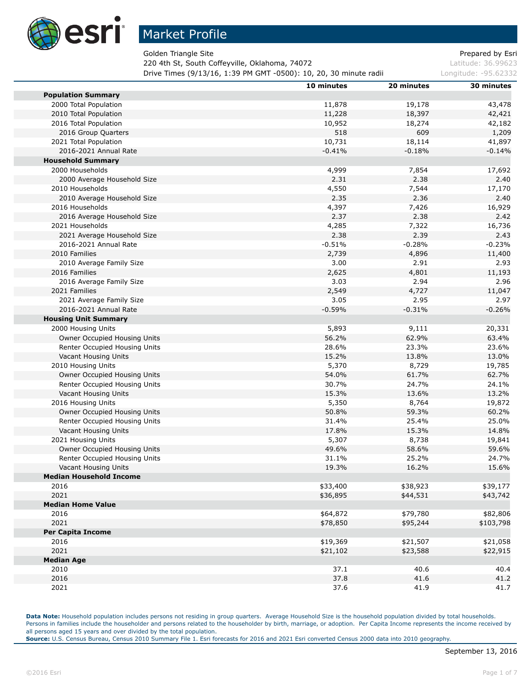

п

## Market Profile

Golden Triangle Site **Prepared by Esri** Section 2.1 and 2.1 and 2.1 and 2.1 and 2.1 and 2.1 and 2.1 and 2.1 and 2.1 and 2.1 and 2.1 and 2.1 and 2.1 and 2.1 and 2.1 and 2.1 and 2.1 and 2.1 and 2.1 and 2.1 and 2.1 and 2.1 an

220 4th St, South Coffeyville, Oklahoma, 74072 Latitude: 36.99623

**Drive Times (9/13/16, 1:39 PM GMT -0500): 10, 20, 30 minute radii Longitude: -95.62332** 

|                                | 10 minutes    | 20 minutes    | 30 minutes     |
|--------------------------------|---------------|---------------|----------------|
| <b>Population Summary</b>      |               |               |                |
| 2000 Total Population          | 11,878        | 19,178        | 43,478         |
| 2010 Total Population          | 11,228        | 18,397        | 42,421         |
| 2016 Total Population          | 10,952        | 18,274        | 42,182         |
| 2016 Group Quarters            | 518           | 609           | 1,209          |
| 2021 Total Population          | 10,731        | 18,114        | 41,897         |
| 2016-2021 Annual Rate          | $-0.41%$      | $-0.18%$      | $-0.14%$       |
| <b>Household Summary</b>       |               |               |                |
| 2000 Households                | 4,999         | 7,854         | 17,692         |
| 2000 Average Household Size    | 2.31          | 2.38          | 2.40           |
| 2010 Households                | 4,550         | 7,544         | 17,170         |
| 2010 Average Household Size    | 2.35          | 2.36          | 2.40           |
| 2016 Households                | 4,397         | 7,426         | 16,929         |
| 2016 Average Household Size    | 2.37          | 2.38          | 2.42           |
| 2021 Households                | 4,285         | 7,322         | 16,736         |
| 2021 Average Household Size    | 2.38          | 2.39          | 2.43           |
| 2016-2021 Annual Rate          | $-0.51%$      | $-0.28%$      | $-0.23%$       |
| 2010 Families                  |               |               |                |
|                                | 2,739<br>3.00 | 4,896<br>2.91 | 11,400<br>2.93 |
| 2010 Average Family Size       |               |               |                |
| 2016 Families                  | 2,625         | 4,801<br>2.94 | 11,193         |
| 2016 Average Family Size       | 3.03          |               | 2.96           |
| 2021 Families                  | 2,549         | 4,727         | 11,047         |
| 2021 Average Family Size       | 3.05          | 2.95          | 2.97           |
| 2016-2021 Annual Rate          | $-0.59%$      | $-0.31%$      | $-0.26%$       |
| <b>Housing Unit Summary</b>    |               |               |                |
| 2000 Housing Units             | 5,893         | 9,111         | 20,331         |
| Owner Occupied Housing Units   | 56.2%         | 62.9%         | 63.4%          |
| Renter Occupied Housing Units  | 28.6%         | 23.3%         | 23.6%          |
| Vacant Housing Units           | 15.2%         | 13.8%         | 13.0%          |
| 2010 Housing Units             | 5,370         | 8,729         | 19,785         |
| Owner Occupied Housing Units   | 54.0%         | 61.7%         | 62.7%          |
| Renter Occupied Housing Units  | 30.7%         | 24.7%         | 24.1%          |
| Vacant Housing Units           | 15.3%         | 13.6%         | 13.2%          |
| 2016 Housing Units             | 5,350         | 8,764         | 19,872         |
| Owner Occupied Housing Units   | 50.8%         | 59.3%         | 60.2%          |
| Renter Occupied Housing Units  | 31.4%         | 25.4%         | 25.0%          |
| Vacant Housing Units           | 17.8%         | 15.3%         | 14.8%          |
| 2021 Housing Units             | 5,307         | 8,738         | 19,841         |
| Owner Occupied Housing Units   | 49.6%         | 58.6%         | 59.6%          |
| Renter Occupied Housing Units  | 31.1%         | 25.2%         | 24.7%          |
| Vacant Housing Units           | 19.3%         | 16.2%         | 15.6%          |
| <b>Median Household Income</b> |               |               |                |
| 2016                           | \$33,400      | \$38,923      | \$39,177       |
| 2021                           | \$36,895      | \$44,531      | \$43,742       |
| <b>Median Home Value</b>       |               |               |                |
| 2016                           | \$64,872      | \$79,780      | \$82,806       |
| 2021                           | \$78,850      | \$95,244      | \$103,798      |
| <b>Per Capita Income</b>       |               |               |                |
| 2016                           | \$19,369      | \$21,507      | \$21,058       |
| 2021                           | \$21,102      | \$23,588      | \$22,915       |
| <b>Median Age</b>              |               |               |                |
| 2010                           | 37.1          | 40.6          | 40.4           |
| 2016                           | 37.8          | 41.6          | 41.2           |
| 2021                           | 37.6          | 41.9          | 41.7           |
|                                |               |               |                |

Data Note: Household population includes persons not residing in group quarters. Average Household Size is the household population divided by total households. Persons in families include the householder and persons related to the householder by birth, marriage, or adoption. Per Capita Income represents the income received by all persons aged 15 years and over divided by the total population.

**Source:** U.S. Census Bureau, Census 2010 Summary File 1. Esri forecasts for 2016 and 2021 Esri converted Census 2000 data into 2010 geography.

٠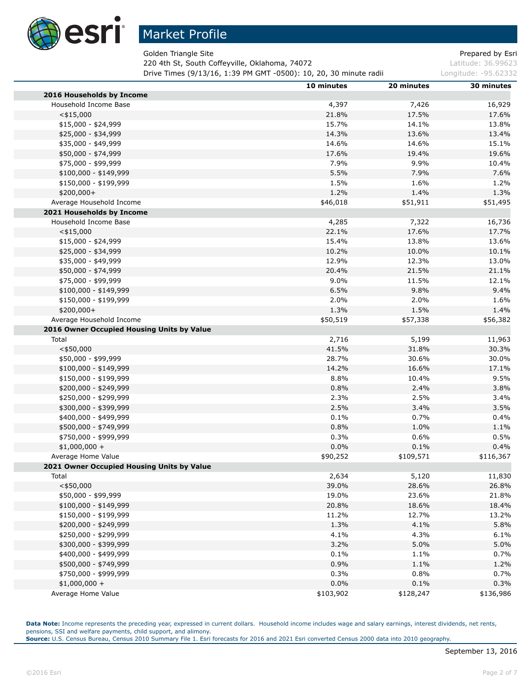

Golden Triangle Site **Prepared by Estimate Site Prepared by Estimate Prepared by Estimate Prepared by Estimate Prepared by Estimate Prepared by Estimate Prepared by Estimate Prepared by Estimate Prepared by Estimate Prepar** 

220 4th St, South Coffeyville, Oklahoma, 74072 Latitude: 36.99623

**Drive Times (9/13/16, 1:39 PM GMT -0500): 10, 20, 30 minute radii Longitude: -95.62332** 

|                                            | 10 minutes | 20 minutes | 30 minutes |
|--------------------------------------------|------------|------------|------------|
| 2016 Households by Income                  |            |            |            |
| Household Income Base                      | 4,397      | 7,426      | 16,929     |
| $<$ \$15,000                               | 21.8%      | 17.5%      | 17.6%      |
| $$15,000 - $24,999$                        | 15.7%      | 14.1%      | 13.8%      |
| \$25,000 - \$34,999                        | 14.3%      | 13.6%      | 13.4%      |
| \$35,000 - \$49,999                        | 14.6%      | 14.6%      | 15.1%      |
| \$50,000 - \$74,999                        | 17.6%      | 19.4%      | 19.6%      |
| \$75,000 - \$99,999                        | 7.9%       | 9.9%       | 10.4%      |
| $$100,000 - $149,999$                      | 5.5%       | 7.9%       | 7.6%       |
| \$150,000 - \$199,999                      | 1.5%       | 1.6%       | 1.2%       |
| \$200,000+                                 | 1.2%       | 1.4%       | 1.3%       |
| Average Household Income                   | \$46,018   | \$51,911   | \$51,495   |
| 2021 Households by Income                  |            |            |            |
| Household Income Base                      | 4,285      | 7,322      | 16,736     |
| $<$ \$15,000                               | 22.1%      | 17.6%      | 17.7%      |
| \$15,000 - \$24,999                        | 15.4%      | 13.8%      | 13.6%      |
| \$25,000 - \$34,999                        | 10.2%      | 10.0%      | 10.1%      |
| \$35,000 - \$49,999                        | 12.9%      | 12.3%      | 13.0%      |
| \$50,000 - \$74,999                        | 20.4%      | 21.5%      | 21.1%      |
| \$75,000 - \$99,999                        | 9.0%       | 11.5%      | 12.1%      |
| \$100,000 - \$149,999                      | 6.5%       | 9.8%       | 9.4%       |
| \$150,000 - \$199,999                      | 2.0%       | 2.0%       | 1.6%       |
| \$200,000+                                 | 1.3%       | 1.5%       | 1.4%       |
| Average Household Income                   | \$50,519   | \$57,338   | \$56,382   |
| 2016 Owner Occupied Housing Units by Value |            |            |            |
| Total                                      | 2,716      | 5,199      | 11,963     |
| $<$ \$50,000                               | 41.5%      | 31.8%      | 30.3%      |
| \$50,000 - \$99,999                        | 28.7%      | 30.6%      | 30.0%      |
| \$100,000 - \$149,999                      | 14.2%      | 16.6%      | 17.1%      |
| \$150,000 - \$199,999                      | 8.8%       | 10.4%      | 9.5%       |
| \$200,000 - \$249,999                      | 0.8%       | 2.4%       | 3.8%       |
| \$250,000 - \$299,999                      | 2.3%       | 2.5%       | 3.4%       |
| \$300,000 - \$399,999                      | 2.5%       | 3.4%       | 3.5%       |
|                                            |            |            |            |
| \$400,000 - \$499,999                      | 0.1%       | 0.7%       | 0.4%       |
| \$500,000 - \$749,999                      | 0.8%       | 1.0%       | 1.1%       |
| \$750,000 - \$999,999                      | 0.3%       | 0.6%       | 0.5%       |
| $$1,000,000 +$                             | 0.0%       | 0.1%       | 0.4%       |
| Average Home Value                         | \$90,252   | \$109,571  | \$116,367  |
| 2021 Owner Occupied Housing Units by Value |            |            |            |
| Total                                      | 2,634      | 5,120      | 11,830     |
| $<$ \$50,000                               | 39.0%      | 28.6%      | 26.8%      |
| \$50,000 - \$99,999                        | 19.0%      | 23.6%      | 21.8%      |
| $$100,000 - $149,999$                      | 20.8%      | 18.6%      | 18.4%      |
| \$150,000 - \$199,999                      | 11.2%      | 12.7%      | 13.2%      |
| \$200,000 - \$249,999                      | 1.3%       | 4.1%       | 5.8%       |
| \$250,000 - \$299,999                      | 4.1%       | 4.3%       | 6.1%       |
| \$300,000 - \$399,999                      | 3.2%       | 5.0%       | 5.0%       |
| \$400,000 - \$499,999                      | 0.1%       | 1.1%       | 0.7%       |
| \$500,000 - \$749,999                      | 0.9%       | 1.1%       | 1.2%       |
| \$750,000 - \$999,999                      | 0.3%       | 0.8%       | 0.7%       |
| $$1,000,000 +$                             | $0.0\%$    | 0.1%       | 0.3%       |
| Average Home Value                         | \$103,902  | \$128,247  | \$136,986  |

Data Note: Income represents the preceding year, expressed in current dollars. Household income includes wage and salary earnings, interest dividends, net rents, pensions, SSI and welfare payments, child support, and alimony.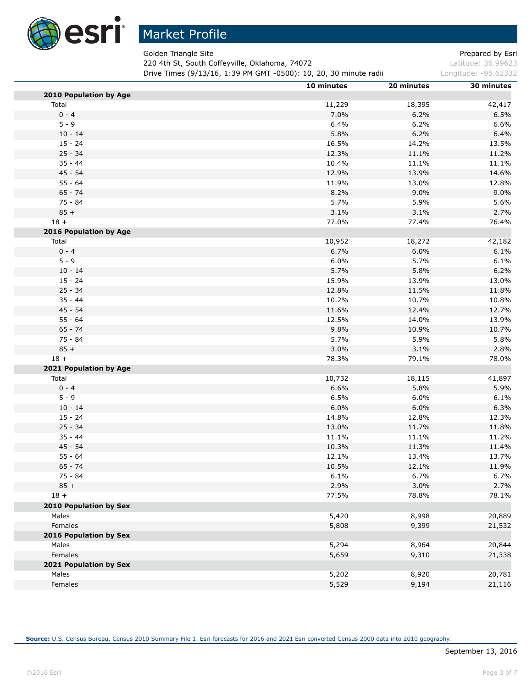

Golden Triangle Site **Prepared by Estimate Site** Prepared by Esri

220 4th St, South Coffeyville, Oklahoma, 74072 **Latitude: 36.99623** 

**Drive Times (9/13/16, 1:39 PM GMT -0500): 10, 20, 30 minute radii Longitude: -95.62332** 

|                               | 10 minutes | 20 minutes    | 30 minutes    |
|-------------------------------|------------|---------------|---------------|
| 2010 Population by Age        |            |               |               |
| Total                         | 11,229     | 18,395        | 42,417        |
| $0 - 4$                       | 7.0%       | 6.2%          | 6.5%          |
| $5 - 9$                       | 6.4%       | 6.2%          | 6.6%          |
| $10 - 14$                     | 5.8%       | 6.2%          | 6.4%          |
| $15 - 24$                     | 16.5%      | 14.2%         | 13.5%         |
| $25 - 34$                     | 12.3%      | 11.1%         | 11.2%         |
| $35 - 44$                     | 10.4%      | 11.1%         | 11.1%         |
| $45 - 54$                     | 12.9%      | 13.9%         | 14.6%         |
| $55 - 64$                     | 11.9%      | 13.0%         | 12.8%         |
| $65 - 74$                     | 8.2%       | 9.0%          | 9.0%          |
| 75 - 84                       | 5.7%       | 5.9%          | 5.6%          |
| $85 +$                        | 3.1%       | 3.1%          | 2.7%          |
| $18 +$                        | 77.0%      | 77.4%         | 76.4%         |
| 2016 Population by Age        |            |               |               |
| Total                         | 10,952     | 18,272        | 42,182        |
| $0 - 4$                       | 6.7%       | 6.0%          | 6.1%          |
| $5 - 9$                       | 6.0%       | 5.7%          | 6.1%          |
| $10 - 14$                     | 5.7%       | 5.8%          | 6.2%          |
| $15 - 24$                     | 15.9%      | 13.9%         | 13.0%         |
| $25 - 34$                     | 12.8%      | 11.5%         | 11.8%         |
| $35 - 44$                     | 10.2%      | 10.7%         | 10.8%         |
| $45 - 54$                     | 11.6%      | 12.4%         | 12.7%         |
| $55 - 64$                     | 12.5%      | 14.0%         | 13.9%         |
| $65 - 74$                     | 9.8%       | 10.9%         | 10.7%         |
| 75 - 84                       | 5.7%       | 5.9%          | 5.8%          |
| $85 +$                        | 3.0%       | 3.1%          | 2.8%          |
| $18 +$                        | 78.3%      | 79.1%         | 78.0%         |
| 2021 Population by Age        |            |               |               |
| Total                         | 10,732     | 18,115        | 41,897        |
| $0 - 4$                       | 6.6%       | 5.8%          | 5.9%          |
| $5 - 9$                       | 6.5%       | 6.0%          | 6.1%          |
| $10 - 14$                     | 6.0%       | 6.0%          | 6.3%          |
| $15 - 24$                     | 14.8%      | 12.8%         | 12.3%         |
| $25 - 34$                     | 13.0%      | 11.7%         | 11.8%         |
| $35 - 44$                     | 11.1%      | 11.1%         | 11.2%         |
| $45 - 54$                     | 10.3%      | 11.3%         | 11.4%         |
| $55 - 64$                     | 12.1%      | 13.4%         | 13.7%         |
| $65 - 74$                     | 10.5%      |               |               |
| 75 - 84                       | 6.1%       | 12.1%<br>6.7% | 11.9%<br>6.7% |
| $85 +$                        | 2.9%       | 3.0%          | 2.7%          |
|                               |            |               |               |
| $18 +$                        | 77.5%      | 78.8%         | 78.1%         |
| <b>2010 Population by Sex</b> |            |               |               |
| Males                         | 5,420      | 8,998         | 20,889        |
| Females                       | 5,808      | 9,399         | 21,532        |
| 2016 Population by Sex        |            |               |               |
| Males                         | 5,294      | 8,964         | 20,844        |
| Females                       | 5,659      | 9,310         | 21,338        |
| 2021 Population by Sex        |            |               |               |
| Males                         | 5,202      | 8,920         | 20,781        |
| Females                       | 5,529      | 9,194         | 21,116        |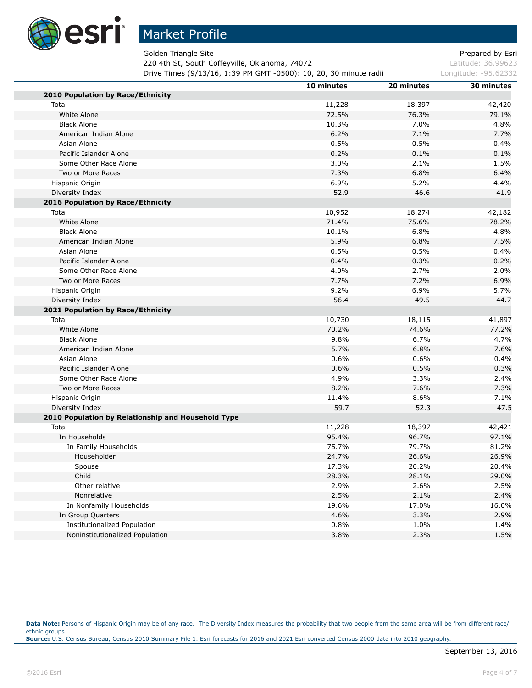

Golden Triangle Site **Prepared by Estimate Site Prepared by Estimate Prepared by Estimate Prepared by Estimate Prepared by Estimate Prepared by Estimate Prepared by Estimate Prepared by Estimate Prepared by Estimate Prepar** 

220 4th St, South Coffeyville, Oklahoma, 74072 Latitude: 36.99623

**Drive Times (9/13/16, 1:39 PM GMT -0500): 10, 20, 30 minute radii Longitude: -95.62332** 

|                                                    | 10 minutes | 20 minutes | 30 minutes |
|----------------------------------------------------|------------|------------|------------|
| 2010 Population by Race/Ethnicity                  |            |            |            |
| Total                                              | 11,228     | 18,397     | 42,420     |
| White Alone                                        | 72.5%      | 76.3%      | 79.1%      |
| <b>Black Alone</b>                                 | 10.3%      | 7.0%       | 4.8%       |
| American Indian Alone                              | 6.2%       | 7.1%       | 7.7%       |
| Asian Alone                                        | 0.5%       | 0.5%       | 0.4%       |
| Pacific Islander Alone                             | 0.2%       | 0.1%       | 0.1%       |
| Some Other Race Alone                              | 3.0%       | 2.1%       | 1.5%       |
| Two or More Races                                  | 7.3%       | 6.8%       | 6.4%       |
| Hispanic Origin                                    | 6.9%       | 5.2%       | 4.4%       |
| Diversity Index                                    | 52.9       | 46.6       | 41.9       |
| 2016 Population by Race/Ethnicity                  |            |            |            |
| Total                                              | 10,952     | 18,274     | 42,182     |
| White Alone                                        | 71.4%      | 75.6%      | 78.2%      |
| <b>Black Alone</b>                                 | 10.1%      | 6.8%       | 4.8%       |
| American Indian Alone                              | 5.9%       | 6.8%       | 7.5%       |
| Asian Alone                                        | 0.5%       | 0.5%       | 0.4%       |
| Pacific Islander Alone                             | 0.4%       | 0.3%       | 0.2%       |
| Some Other Race Alone                              | 4.0%       | 2.7%       | 2.0%       |
| Two or More Races                                  | 7.7%       | 7.2%       | 6.9%       |
| Hispanic Origin                                    | 9.2%       | 6.9%       | 5.7%       |
| Diversity Index                                    | 56.4       | 49.5       | 44.7       |
| 2021 Population by Race/Ethnicity                  |            |            |            |
| Total                                              | 10,730     | 18,115     | 41,897     |
| White Alone                                        | 70.2%      | 74.6%      | 77.2%      |
| <b>Black Alone</b>                                 | 9.8%       | 6.7%       | 4.7%       |
| American Indian Alone                              | 5.7%       | 6.8%       | 7.6%       |
| Asian Alone                                        | 0.6%       | 0.6%       | 0.4%       |
| Pacific Islander Alone                             | 0.6%       | 0.5%       | 0.3%       |
| Some Other Race Alone                              | 4.9%       | 3.3%       | 2.4%       |
| Two or More Races                                  | 8.2%       | 7.6%       | 7.3%       |
| Hispanic Origin                                    | 11.4%      | 8.6%       | 7.1%       |
| Diversity Index                                    | 59.7       | 52.3       | 47.5       |
| 2010 Population by Relationship and Household Type |            |            |            |
| Total                                              | 11,228     | 18,397     | 42,421     |
| In Households                                      | 95.4%      | 96.7%      | 97.1%      |
| In Family Households                               | 75.7%      | 79.7%      | 81.2%      |
| Householder                                        | 24.7%      | 26.6%      | 26.9%      |
| Spouse                                             | 17.3%      | 20.2%      | 20.4%      |
| Child                                              | 28.3%      | 28.1%      | 29.0%      |
| Other relative                                     | 2.9%       | 2.6%       | 2.5%       |
| Nonrelative                                        | 2.5%       | 2.1%       | 2.4%       |
| In Nonfamily Households                            | 19.6%      | 17.0%      | 16.0%      |
| In Group Quarters                                  | 4.6%       | 3.3%       | 2.9%       |
| Institutionalized Population                       | 0.8%       | 1.0%       | 1.4%       |
| Noninstitutionalized Population                    | 3.8%       | 2.3%       | 1.5%       |

Data Note: Persons of Hispanic Origin may be of any race. The Diversity Index measures the probability that two people from the same area will be from different race/ ethnic groups. **Source:** U.S. Census Bureau, Census 2010 Summary File 1. Esri forecasts for 2016 and 2021 Esri converted Census 2000 data into 2010 geography.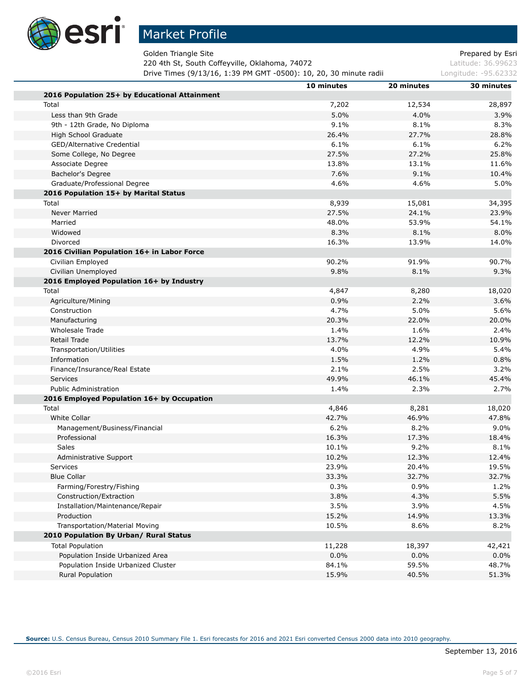

Golden Triangle Site **Prepared by Estimate Site** Prepared by Esri

220 4th St, South Coffeyville, Oklahoma, 74072 Latitude: 36.99623

**Drive Times (9/13/16, 1:39 PM GMT -0500): 10, 20, 30 minute radii Longitude: -95.62332** 

|                                               | 10 minutes | 20 minutes | 30 minutes |
|-----------------------------------------------|------------|------------|------------|
| 2016 Population 25+ by Educational Attainment |            |            |            |
| Total                                         | 7,202      | 12,534     | 28,897     |
| Less than 9th Grade                           | 5.0%       | 4.0%       | 3.9%       |
| 9th - 12th Grade, No Diploma                  | 9.1%       | 8.1%       | 8.3%       |
| High School Graduate                          | 26.4%      | 27.7%      | 28.8%      |
| GED/Alternative Credential                    | 6.1%       | 6.1%       | 6.2%       |
| Some College, No Degree                       | 27.5%      | 27.2%      | 25.8%      |
| Associate Degree                              | 13.8%      | 13.1%      | 11.6%      |
| Bachelor's Degree                             | 7.6%       | 9.1%       | 10.4%      |
| Graduate/Professional Degree                  | 4.6%       | 4.6%       | 5.0%       |
| 2016 Population 15+ by Marital Status         |            |            |            |
| Total                                         | 8,939      | 15,081     | 34,395     |
| <b>Never Married</b>                          | 27.5%      | 24.1%      | 23.9%      |
| Married                                       | 48.0%      | 53.9%      | 54.1%      |
| Widowed                                       | 8.3%       | 8.1%       | 8.0%       |
| Divorced                                      | 16.3%      | 13.9%      | 14.0%      |
| 2016 Civilian Population 16+ in Labor Force   |            |            |            |
| Civilian Employed                             | 90.2%      | 91.9%      | 90.7%      |
| Civilian Unemployed                           | 9.8%       | 8.1%       | 9.3%       |
| 2016 Employed Population 16+ by Industry      |            |            |            |
| Total                                         | 4,847      | 8,280      | 18,020     |
| Agriculture/Mining                            | 0.9%       | 2.2%       | 3.6%       |
| Construction                                  | 4.7%       | 5.0%       | 5.6%       |
| Manufacturing                                 | 20.3%      | 22.0%      | 20.0%      |
| <b>Wholesale Trade</b>                        | 1.4%       | 1.6%       | 2.4%       |
| Retail Trade                                  | 13.7%      | 12.2%      | 10.9%      |
| Transportation/Utilities                      | 4.0%       | 4.9%       | 5.4%       |
| Information                                   | 1.5%       | 1.2%       | 0.8%       |
| Finance/Insurance/Real Estate                 | 2.1%       | 2.5%       | 3.2%       |
| Services                                      | 49.9%      | 46.1%      | 45.4%      |
| <b>Public Administration</b>                  | 1.4%       | 2.3%       | 2.7%       |
| 2016 Employed Population 16+ by Occupation    |            |            |            |
| Total                                         | 4,846      | 8,281      | 18,020     |
| <b>White Collar</b>                           | 42.7%      | 46.9%      | 47.8%      |
| Management/Business/Financial                 | 6.2%       | 8.2%       | $9.0\%$    |
| Professional                                  | 16.3%      | 17.3%      | 18.4%      |
| Sales                                         | 10.1%      | 9.2%       | 8.1%       |
| Administrative Support                        | 10.2%      | 12.3%      | 12.4%      |
| Services                                      | 23.9%      | 20.4%      | 19.5%      |
| <b>Blue Collar</b>                            | 33.3%      | 32.7%      | 32.7%      |
| Farming/Forestry/Fishing                      | 0.3%       | 0.9%       | 1.2%       |
| Construction/Extraction                       | 3.8%       | 4.3%       | 5.5%       |
| Installation/Maintenance/Repair               | 3.5%       | 3.9%       | 4.5%       |
| Production                                    | 15.2%      | 14.9%      | 13.3%      |
| Transportation/Material Moving                | 10.5%      | 8.6%       | 8.2%       |
| 2010 Population By Urban/ Rural Status        |            |            |            |
| <b>Total Population</b>                       | 11,228     | 18,397     | 42,421     |
| Population Inside Urbanized Area              | 0.0%       | 0.0%       | 0.0%       |
| Population Inside Urbanized Cluster           | 84.1%      | 59.5%      | 48.7%      |
| <b>Rural Population</b>                       | 15.9%      | 40.5%      | 51.3%      |
|                                               |            |            |            |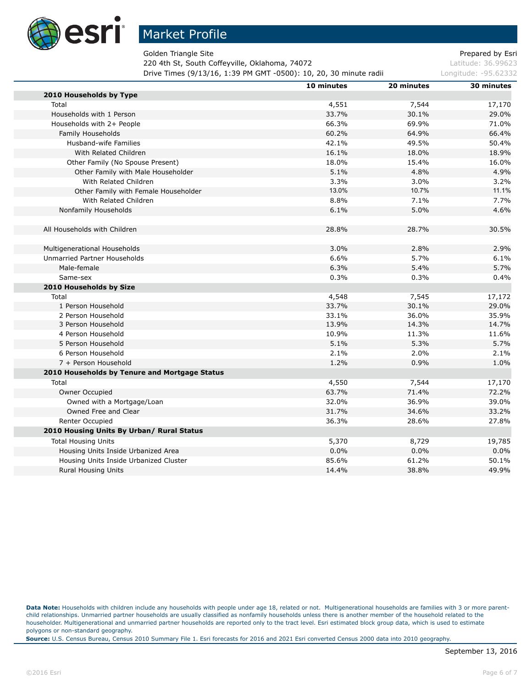

Golden Triangle Site **Prepared by Esri** Section 2.1 and 2.1 and 2.1 and 2.1 and 2.1 and 2.1 and 2.1 and 2.1 and 2.1 and 2.1 and 2.1 and 2.1 and 2.1 and 2.1 and 2.1 and 2.1 and 2.1 and 2.1 and 2.1 and 2.1 and 2.1 and 2.1 an

220 4th St, South Coffeyville, Oklahoma, 74072 Latitude: 36.99623

**Drive Times (9/13/16, 1:39 PM GMT -0500): 10, 20, 30 minute radii Longitude: -95.62332** 

|                                               | 10 minutes | 20 minutes | 30 minutes |
|-----------------------------------------------|------------|------------|------------|
| 2010 Households by Type                       |            |            |            |
| Total                                         | 4,551      | 7,544      | 17,170     |
| Households with 1 Person                      | 33.7%      | 30.1%      | 29.0%      |
| Households with 2+ People                     | 66.3%      | 69.9%      | 71.0%      |
| Family Households                             | 60.2%      | 64.9%      | 66.4%      |
| Husband-wife Families                         | 42.1%      | 49.5%      | 50.4%      |
| With Related Children                         | 16.1%      | 18.0%      | 18.9%      |
| Other Family (No Spouse Present)              | 18.0%      | 15.4%      | 16.0%      |
| Other Family with Male Householder            | 5.1%       | 4.8%       | 4.9%       |
| With Related Children                         | 3.3%       | 3.0%       | 3.2%       |
| Other Family with Female Householder          | 13.0%      | 10.7%      | 11.1%      |
| With Related Children                         | 8.8%       | 7.1%       | 7.7%       |
| Nonfamily Households                          | 6.1%       | 5.0%       | 4.6%       |
|                                               |            |            |            |
| All Households with Children                  | 28.8%      | 28.7%      | 30.5%      |
| Multigenerational Households                  | 3.0%       | 2.8%       | 2.9%       |
| Unmarried Partner Households                  | 6.6%       | 5.7%       | 6.1%       |
| Male-female                                   | 6.3%       | 5.4%       | 5.7%       |
| Same-sex                                      | 0.3%       | 0.3%       | 0.4%       |
| 2010 Households by Size                       |            |            |            |
| Total                                         | 4,548      | 7,545      | 17,172     |
| 1 Person Household                            | 33.7%      | 30.1%      | 29.0%      |
| 2 Person Household                            | 33.1%      | 36.0%      | 35.9%      |
| 3 Person Household                            | 13.9%      | 14.3%      | 14.7%      |
| 4 Person Household                            | 10.9%      | 11.3%      | 11.6%      |
| 5 Person Household                            | 5.1%       | 5.3%       | 5.7%       |
| 6 Person Household                            | 2.1%       | 2.0%       | 2.1%       |
| 7 + Person Household                          | 1.2%       | 0.9%       | 1.0%       |
| 2010 Households by Tenure and Mortgage Status |            |            |            |
| Total                                         | 4,550      | 7,544      | 17,170     |
| Owner Occupied                                | 63.7%      | 71.4%      | 72.2%      |
| Owned with a Mortgage/Loan                    | 32.0%      | 36.9%      | 39.0%      |
| Owned Free and Clear                          | 31.7%      | 34.6%      | 33.2%      |
| Renter Occupied                               | 36.3%      | 28.6%      | 27.8%      |
| 2010 Housing Units By Urban/ Rural Status     |            |            |            |
| <b>Total Housing Units</b>                    | 5,370      | 8,729      | 19,785     |
| Housing Units Inside Urbanized Area           | 0.0%       | 0.0%       | 0.0%       |
| Housing Units Inside Urbanized Cluster        | 85.6%      | 61.2%      | 50.1%      |
| <b>Rural Housing Units</b>                    | 14.4%      | 38.8%      | 49.9%      |

Data Note: Households with children include any households with people under age 18, related or not. Multigenerational households are families with 3 or more parentchild relationships. Unmarried partner households are usually classified as nonfamily households unless there is another member of the household related to the householder. Multigenerational and unmarried partner households are reported only to the tract level. Esri estimated block group data, which is used to estimate polygons or non-standard geography.

**Source:** U.S. Census Bureau, Census 2010 Summary File 1. Esri forecasts for 2016 and 2021 Esri converted Census 2000 data into 2010 geography.